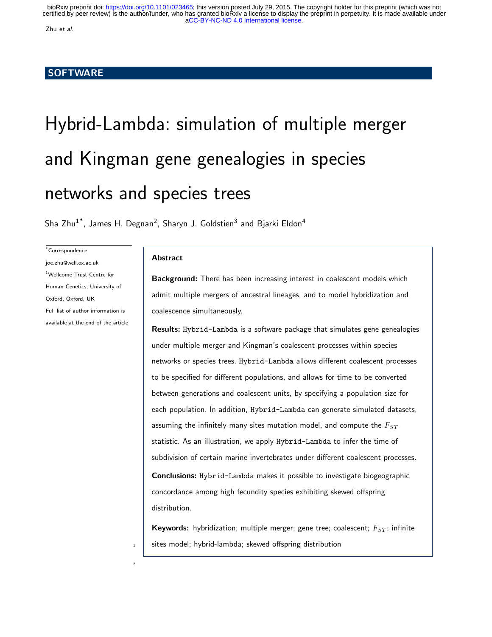Zhu et al.

# **SOFTWARE**

# Hybrid-Lambda: simulation of multiple merger and Kingman gene genealogies in species networks and species trees

Sha Zhu<sup>1\*</sup>, James H. Degnan<sup>2</sup>, Sharyn J. Goldstien<sup>3</sup> and Bjarki Eldon<sup>4</sup>

\*Correspondence:

joe.zhu@well.ox.ac.uk <sup>1</sup>Wellcome Trust Centre for Human Genetics, University of Oxford, Oxford, UK Full list of author information is available at the end of the article

# Abstract

 $\overline{2}$ 

Background: There has been increasing interest in coalescent models which admit multiple mergers of ancestral lineages; and to model hybridization and coalescence simultaneously.

Results: Hybrid-Lambda is a software package that simulates gene genealogies under multiple merger and Kingman's coalescent processes within species networks or species trees. Hybrid-Lambda allows different coalescent processes to be specified for different populations, and allows for time to be converted between generations and coalescent units, by specifying a population size for each population. In addition, Hybrid-Lambda can generate simulated datasets, assuming the infinitely many sites mutation model, and compute the  $F_{ST}$ statistic. As an illustration, we apply Hybrid-Lambda to infer the time of subdivision of certain marine invertebrates under different coalescent processes. Conclusions: Hybrid-Lambda makes it possible to investigate biogeographic concordance among high fecundity species exhibiting skewed offspring distribution.

Keywords: hybridization; multiple merger; gene tree; coalescent;  $F_{ST}$ ; infinite  $1 \mid$  sites model; hybrid-lambda; skewed offspring distribution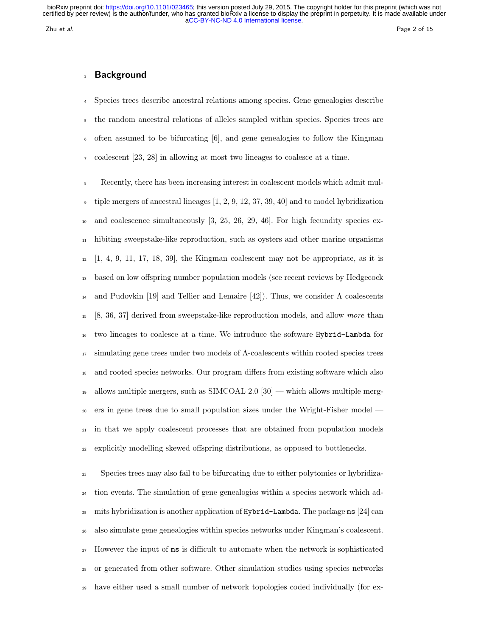# Background

 Species trees describe ancestral relations among species. Gene genealogies describe the random ancestral relations of alleles sampled within species. Species trees are often assumed to be bifurcating  $[6]$ , and gene genealogies to follow the Kingman coalescent [23, 28] in allowing at most two lineages to coalesce at a time.

 Recently, there has been increasing interest in coalescent models which admit mul- $\frac{1}{2}$  tiple mergers of ancestral lineages [1, 2, 9, 12, 37, 39, 40] and to model hybridization and coalescence simultaneously [3, 25, 26, 29, 46]. For high fecundity species ex- hibiting sweepstake-like reproduction, such as oysters and other marine organisms  $12 \quad [1, 4, 9, 11, 17, 18, 39]$ , the Kingman coalescent may not be appropriate, as it is based on low offspring number population models (see recent reviews by Hedgecock <sup>14</sup> and Pudovkin [19] and Tellier and Lemaire [42]). Thus, we consider  $Λ$  coalescents [8, 36, 37] derived from sweepstake-like reproduction models, and allow more than two lineages to coalesce at a time. We introduce the software Hybrid-Lambda for simulating gene trees under two models of  $\Lambda$ -coalescents within rooted species trees and rooted species networks. Our program differs from existing software which also <sup>19</sup> allows multiple mergers, such as SIMCOAL 2.0  $[30]$  — which allows multiple merg- ers in gene trees due to small population sizes under the Wright-Fisher model — in that we apply coalescent processes that are obtained from population models explicitly modelling skewed offspring distributions, as opposed to bottlenecks.

 Species trees may also fail to be bifurcating due to either polytomies or hybridiza- tion events. The simulation of gene genealogies within a species network which ad-25 mits hybridization is another application of  $Hybrid-Lambda$ . The package ms [24] can also simulate gene genealogies within species networks under Kingman's coalescent. However the input of ms is difficult to automate when the network is sophisticated or generated from other software. Other simulation studies using species networks have either used a small number of network topologies coded individually (for ex-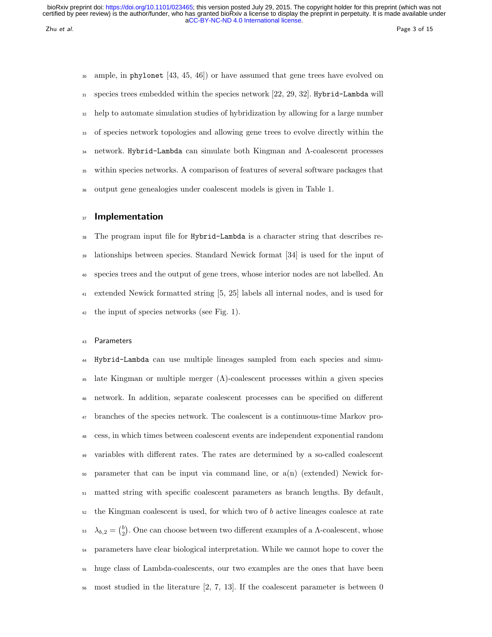ample, in phylonet  $[43, 45, 46]$  or have assumed that gene trees have evolved on  $_{31}$  species trees embedded within the species network [22, 29, 32]. Hybrid-Lambda will help to automate simulation studies of hybridization by allowing for a large number of species network topologies and allowing gene trees to evolve directly within the network. Hybrid-Lambda can simulate both Kingman and Λ-coalescent processes within species networks. A comparison of features of several software packages that output gene genealogies under coalescent models is given in Table 1.

# 37 Implementation

 The program input file for Hybrid-Lambda is a character string that describes re- lationships between species. Standard Newick format [34] is used for the input of species trees and the output of gene trees, whose interior nodes are not labelled. An extended Newick formatted string [5, 25] labels all internal nodes, and is used for the input of species networks (see Fig. 1).

## Parameters

 Hybrid-Lambda can use multiple lineages sampled from each species and simu-45 late Kingman or multiple merger  $(\Lambda)$ -coalescent processes within a given species network. In addition, separate coalescent processes can be specified on different branches of the species network. The coalescent is a continuous-time Markov pro- cess, in which times between coalescent events are independent exponential random variables with different rates. The rates are determined by a so-called coalescent parameter that can be input via command line, or a(n) (extended) Newick for- matted string with specific coalescent parameters as branch lengths. By default, the Kingman coalescent is used, for which two of b active lineages coalesce at rate <sup>53</sup>  $\lambda_{b,2} = \binom{b}{2}$ . One can choose between two different examples of a Λ-coalescent, whose parameters have clear biological interpretation. While we cannot hope to cover the huge class of Lambda-coalescents, our two examples are the ones that have been most studied in the literature [2, 7, 13]. If the coalescent parameter is between 0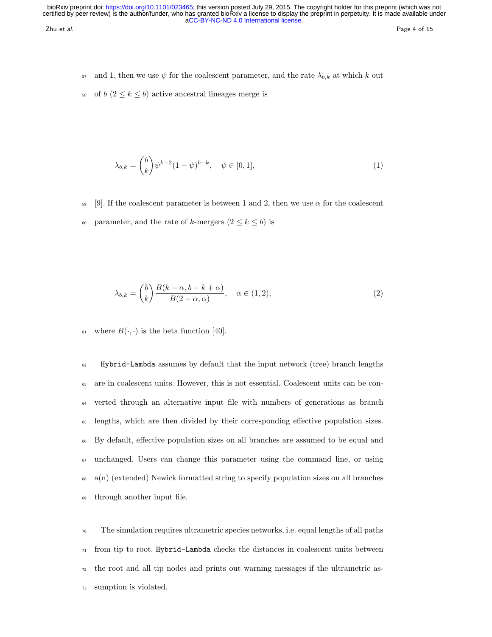zhu et al. Page 4 of 15

- 57 and 1, then we use  $\psi$  for the coalescent parameter, and the rate  $\lambda_{b,k}$  at which k out
- 58 of  $b$   $(2 \leq k \leq b)$  active ancestral lineages merge is

$$
\lambda_{b,k} = \binom{b}{k} \psi^{k-2} (1 - \psi)^{b-k}, \quad \psi \in [0, 1], \tag{1}
$$

59 [9]. If the coalescent parameter is between 1 and 2, then we use  $\alpha$  for the coalescent

60 parameter, and the rate of k-mergers  $(2 \leq k \leq b)$  is

$$
\lambda_{b,k} = \binom{b}{k} \frac{B(k-\alpha, b-k+\alpha)}{B(2-\alpha, \alpha)}, \quad \alpha \in (1,2), \tag{2}
$$

61 where  $B(\cdot, \cdot)$  is the beta function [40].

 Hybrid-Lambda assumes by default that the input network (tree) branch lengths are in coalescent units. However, this is not essential. Coalescent units can be con- verted through an alternative input file with numbers of generations as branch lengths, which are then divided by their corresponding effective population sizes. By default, effective population sizes on all branches are assumed to be equal and unchanged. Users can change this parameter using the command line, or using  $68 \text{ a}(n)$  (extended) Newick formatted string to specify population sizes on all branches through another input file.

 The simulation requires ultrametric species networks, i.e. equal lengths of all paths  $_{71}$  from tip to root. Hybrid-Lambda checks the distances in coalescent units between the root and all tip nodes and prints out warning messages if the ultrametric as-sumption is violated.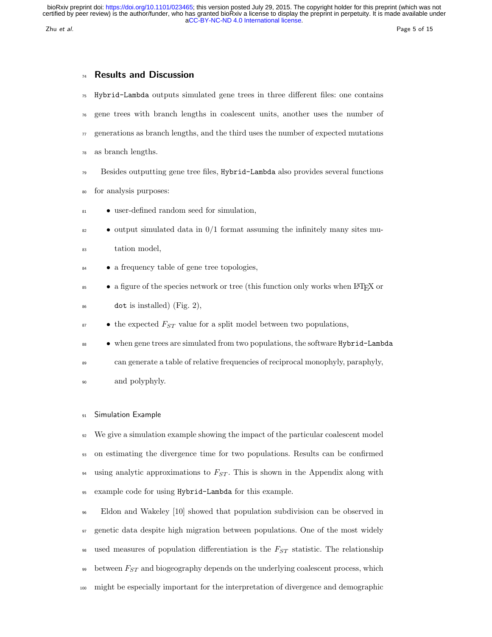# 74 Results and Discussion

- <sup>75</sup> Hybrid-Lambda outputs simulated gene trees in three different files: one contains
- <sup>76</sup> gene trees with branch lengths in coalescent units, another uses the number of
- $\pi$  generations as branch lengths, and the third uses the number of expected mutations
- <sup>78</sup> as branch lengths.
- <sup>79</sup> Besides outputting gene tree files, Hybrid-Lambda also provides several functions
- <sup>80</sup> for analysis purposes:
- <sup>81</sup> user-defined random seed for simulation,
- $\bullet$  output simulated data in 0/1 format assuming the infinitely many sites mu-
- <sup>83</sup> tation model,
- <sup>84</sup> a frequency table of gene tree topologies,
- <sup>85</sup> a figure of the species network or tree (this function only works when L<sup>AT</sup>EX or
- $^{86}$  dot is installed) (Fig. 2),
- $\bullet$  the expected  $F_{ST}$  value for a split model between two populations,
- when gene trees are simulated from two populations, the software Hybrid-Lambda
- <sup>89</sup> can generate a table of relative frequencies of reciprocal monophyly, paraphyly,
- <sup>90</sup> and polyphyly.

# 91 Simulation Example

 We give a simulation example showing the impact of the particular coalescent model on estimating the divergence time for two populations. Results can be confirmed 94 using analytic approximations to  $F_{ST}$ . This is shown in the Appendix along with example code for using Hybrid-Lambda for this example.

<sup>96</sup> Eldon and Wakeley [10] showed that population subdivision can be observed in <sup>97</sup> genetic data despite high migration between populations. One of the most widely 98 used measures of population differentiation is the  $F_{ST}$  statistic. The relationship  $\frac{1}{29}$  between  $F_{ST}$  and biogeography depends on the underlying coalescent process, which <sup>100</sup> might be especially important for the interpretation of divergence and demographic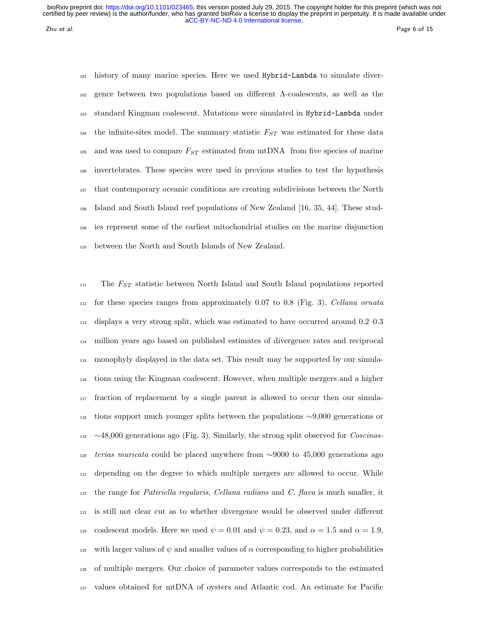zhu et al. Page 6 of 15

 history of many marine species. Here we used Hybrid-Lambda to simulate diver- gence between two populations based on different Λ-coalescents, as well as the standard Kingman coalescent. Mutations were simulated in Hybrid-Lambda under <sup>104</sup> the infinite-sites model. The summary statistic  $F_{ST}$  was estimated for these data <sup>105</sup> and was used to compare  $F_{ST}$  estimated from mtDNA from five species of marine invertebrates. These species were used in previous studies to test the hypothesis that contemporary oceanic conditions are creating subdivisions between the North Island and South Island reef populations of New Zealand [16, 35, 44]. These stud- ies represent some of the earliest mitochondrial studies on the marine disjunction between the North and South Islands of New Zealand.

 The  $F_{ST}$  statistic between North Island and South Island populations reported for these species ranges from approximately 0.07 to 0.8 (Fig. 3). Cellana ornata displays a very strong split, which was estimated to have occurred around 0.2–0.3 million years ago based on published estimates of divergence rates and reciprocal monophyly displayed in the data set. This result may be supported by our simula- tions using the Kingman coalescent. However, when multiple mergers and a higher fraction of replacement by a single parent is allowed to occur then our simula- tions support much younger splits between the populations ∼9,000 generations or ∼48,000 generations ago (Fig. 3). Similarly, the strong split observed for Coscinas- terias muricata could be placed anywhere from ∼9000 to 45,000 generations ago depending on the degree to which multiple mergers are allowed to occur. While the range for *Patiriella regularis, Cellana radians* and C. flava is much smaller, it is still not clear cut as to whether divergence would be observed under different 124 coalescent models. Here we used  $\psi = 0.01$  and  $\psi = 0.23$ , and  $\alpha = 1.5$  and  $\alpha = 1.9$ , 125 with larger values of  $\psi$  and smaller values of  $\alpha$  corresponding to higher probabilities of multiple mergers. Our choice of parameter values corresponds to the estimated values obtained for mtDNA of oysters and Atlantic cod. An estimate for Pacific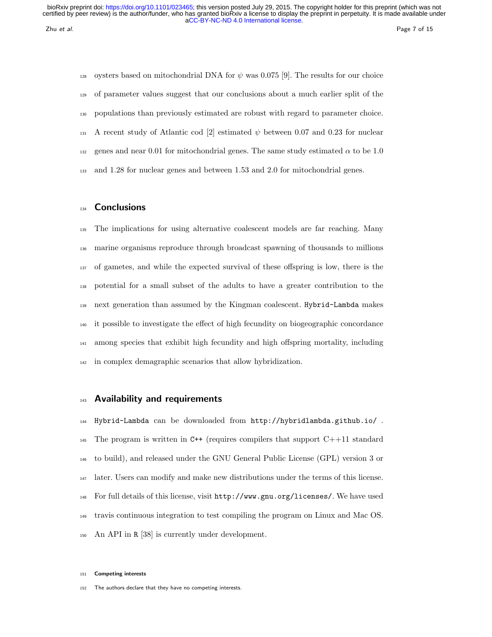128 oysters based on mitochondrial DNA for  $\psi$  was 0.075 [9]. The results for our choice of parameter values suggest that our conclusions about a much earlier split of the populations than previously estimated are robust with regard to parameter choice. 131 A recent study of Atlantic cod [2] estimated  $\psi$  between 0.07 and 0.23 for nuclear 132 genes and near 0.01 for mitochondrial genes. The same study estimated  $\alpha$  to be 1.0 and 1.28 for nuclear genes and between 1.53 and 2.0 for mitochondrial genes.

# **Conclusions**

 The implications for using alternative coalescent models are far reaching. Many marine organisms reproduce through broadcast spawning of thousands to millions of gametes, and while the expected survival of these offspring is low, there is the potential for a small subset of the adults to have a greater contribution to the next generation than assumed by the Kingman coalescent. Hybrid-Lambda makes it possible to investigate the effect of high fecundity on biogeographic concordance among species that exhibit high fecundity and high offspring mortality, including in complex demagraphic scenarios that allow hybridization.

# 143 Availability and requirements

 Hybrid-Lambda can be downloaded from http://hybridlambda.github.io/ . 145 The program is written in  $C++$  (requires compilers that support  $C++11$  standard to build), and released under the GNU General Public License (GPL) version 3 or later. Users can modify and make new distributions under the terms of this license. For full details of this license, visit http://www.gnu.org/licenses/. We have used travis continuous integration to test compiling the program on Linux and Mac OS. An API in R [38] is currently under development.

### Competing interests

152 The authors declare that they have no competing interests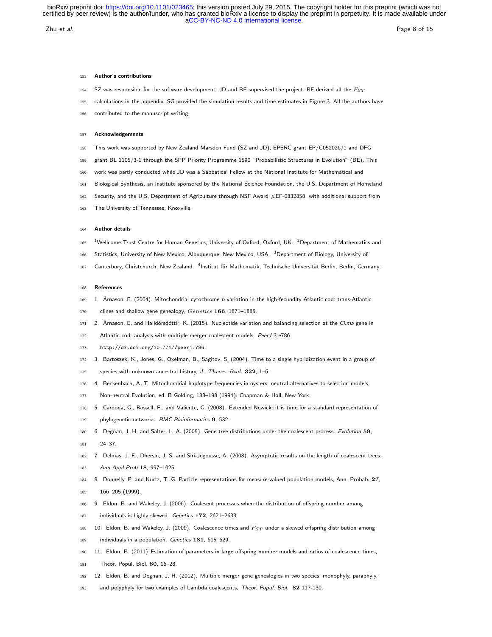zhu et al. Page 8 of 15

## 153 Author's contributions

- 154 SZ was responsible for the software development. JD and BE supervised the project. BE derived all the  $F_{ST}$
- 155 calculations in the appendix. SG provided the simulation results and time estimates in Figure 3. All the authors have
- 156 contributed to the manuscript writing.

#### 157 Acknowledgements

- 158 This work was supported by New Zealand Marsden Fund (SZ and JD), EPSRC grant EP/G052026/1 and DFG
- 159 grant BL 1105/3-1 through the SPP Priority Programme 1590 "Probabilistic Structures in Evolution" (BE). This
- 160 work was partly conducted while JD was a Sabbatical Fellow at the National Institute for Mathematical and
- 161 Biological Synthesis, an Institute sponsored by the National Science Foundation, the U.S. Department of Homeland
- 162 Security, and the U.S. Department of Agriculture through NSF Award #EF-0832858, with additional support from
- 163 The University of Tennessee, Knoxville.

#### 164 Author details

- 165 <sup>1</sup>Wellcome Trust Centre for Human Genetics, University of Oxford, Oxford, UK. <sup>2</sup>Department of Mathematics and
- 166 Statistics, University of New Mexico, Albuquerque, New Mexico, USA. <sup>3</sup>Department of Biology, University of
- 167 Canterbury, Christchurch, New Zealand. <sup>4</sup>Institut für Mathematik, Technische Universität Berlin, Berlin, Germany.

### 168 References

- 169 1. Árnason, E. (2004). Mitochondrial cytochrome b variation in the high-fecundity Atlantic cod: trans-Atlantic
- 170 clines and shallow gene genealogy, Genetics 166, 1871–1885.
- 171 2. Árnason, E. and Halldórsdóttir, K. (2015). Nucleotide variation and balancing selection at the Ckma gene in
- 172 Atlantic cod: analysis with multiple merger coalescent models. PeerJ 3:e786
- <sup>173</sup> http://dx.doi.org/10.7717/peerj.786.
- 174 3. Bartoszek, K., Jones, G., Oxelman, B., Sagitov, S. (2004). Time to a single hybridization event in a group of
- 175 species with unknown ancestral history, J. Theor. Biol. 322, 1-6.
- 176 4. Beckenbach, A. T. Mitochondrial haplotype frequencies in oysters: neutral alternatives to selection models,
- 177 Non-neutral Evolution, ed. B Golding, 188–198 (1994). Chapman & Hall, New York.
- 178 5. Cardona, G., Rossell, F., and Valiente, G. (2008). Extended Newick: it is time for a standard representation of
- 179 phylogenetic networks. BMC Bioinformatics 9, 532.
- 180 6. Degnan, J. H. and Salter, L. A. (2005). Gene tree distributions under the coalescent process. Evolution 59,
- 181 24–37.
- 182 7. Delmas, J. F., Dhersin, J. S. and Siri-Jegousse, A. (2008). Asymptotic results on the length of coalescent trees. 183 Ann Appl Prob 18, 997–1025.
- 184 8. Donnelly, P. and Kurtz, T. G. Particle representations for measure-valued population models, Ann. Probab. 27, 185 166–205 (1999).
- 186 9. Eldon, B. and Wakeley, J. (2006). Coalesent processes when the distribution of offspring number among
- 187 individuals is highly skewed. Genetics 172, 2621-2633.
- 188 10. Eldon, B. and Wakeley, J. (2009). Coalescence times and  $F_{ST}$  under a skewed offspring distribution among
- 189 individuals in a population. Genetics 181, 615–629.

190 11. Eldon, B. (2011) Estimation of parameters in large offspring number models and ratios of coalescence times,

- 191 Theor. Popul. Biol. 80, 16–28.
- 192 12. Eldon, B. and Degnan, J. H. (2012). Multiple merger gene genealogies in two species: monophyly, paraphyly,
- 193 and polyphyly for two examples of Lambda coalescents, Theor. Popul. Biol. 82 117-130.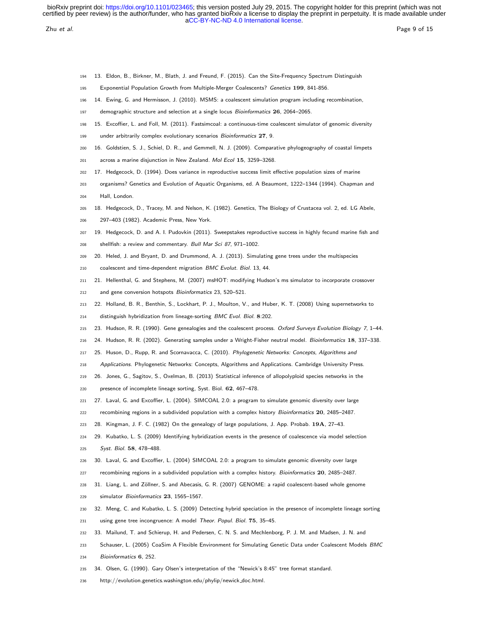zhu et al. Page 9 of 15

- 13. Eldon, B., Birkner, M., Blath, J. and Freund, F. (2015). Can the Site-Frequency Spectrum Distinguish
- Exponential Population Growth from Multiple-Merger Coalescents? Genetics 199, 841-856.
- 14. Ewing, G. and Hermisson, J. (2010). MSMS: a coalescent simulation program including recombination,
- 197 demographic structure and selection at a single locus Bioinformatics 26, 2064-2065.
- 15. Excoffier, L. and Foll, M. (2011). Fastsimcoal: a continuous-time coalescent simulator of genomic diversity
- 199 under arbitrarily complex evolutionary scenarios Bioinformatics 27, 9.
- 16. Goldstien, S. J., Schiel, D. R., and Gemmell, N. J. (2009). Comparative phylogeography of coastal limpets
- across a marine disjunction in New Zealand. Mol Ecol 15, 3259–3268.
- 17. Hedgecock, D. (1994). Does variance in reproductive success limit effective population sizes of marine
- organisms? Genetics and Evolution of Aquatic Organisms, ed. A Beaumont, 1222–1344 (1994). Chapman and
- Hall, London.
- 18. Hedgecock, D., Tracey, M. and Nelson, K. (1982). Genetics, The Biology of Crustacea vol. 2, ed. LG Abele,
- 297–403 (1982). Academic Press, New York.
- 19. Hedgecock, D. and A. I. Pudovkin (2011). Sweepstakes reproductive success in highly fecund marine fish and
- shellfish: a review and commentary. Bull Mar Sci 87, 971–1002.
- 20. Heled, J. and Bryant, D. and Drummond, A. J. (2013). Simulating gene trees under the multispecies
- coalescent and time-dependent migration BMC Evolut. Biol. 13, 44.
- 21. Hellenthal, G. and Stephens, M. (2007) msHOT: modifying Hudson's ms simulator to incorporate crossover
- and gene conversion hotspots Bioinformatics 23, 520–521.
- 22. Holland, B. R., Benthin, S., Lockhart, P. J., Moulton, V., and Huber, K. T. (2008) Using supernetworks to
- 214 distinguish hybridization from lineage-sorting BMC Evol. Biol. 8:202.
- 215 23. Hudson, R. R. (1990). Gene genealogies and the coalescent process. Oxford Surveys Evolution Biology 7, 1-44.
- 24. Hudson, R. R. (2002). Generating samples under a Wright-Fisher neutral model. Bioinformatics 18, 337–338.
- 25. Huson, D., Rupp, R. and Scornavacca, C. (2010). Phylogenetic Networks: Concepts, Algorithms and
- 218 Applications. Phylogenetic Networks: Concepts, Algorithms and Applications. Cambridge University Press.
- 26. Jones, G., Sagitov, S., Oxelman, B. (2013) Statistical inference of allopolyploid species networks in the
- presence of incomplete lineage sorting, Syst. Biol. 62, 467–478.
- 27. Laval, G. and Excoffier, L. (2004). SIMCOAL 2.0: a program to simulate genomic diversity over large
- recombining regions in a subdivided population with a complex history Bioinformatics 20, 2485–2487.
- 28. Kingman, J. F. C. (1982) On the genealogy of large populations, J. App. Probab. 19A, 27–43.
- 29. Kubatko, L. S. (2009) Identifying hybridization events in the presence of coalescence via model selection
- Syst. Biol. 58, 478–488.
- 30. Laval, G. and Excoffier, L. (2004) SIMCOAL 2.0: a program to simulate genomic diversity over large
- 227 recombining regions in a subdivided population with a complex history. Bioinformatics 20, 2485-2487.
- 228 31. Liang, L. and Zöllner, S. and Abecasis, G. R. (2007) GENOME: a rapid coalescent-based whole genome
- simulator Bioinformatics 23, 1565–1567.
- 32. Meng, C. and Kubatko, L. S. (2009) Detecting hybrid speciation in the presence of incomplete lineage sorting
- using gene tree incongruence: A model Theor. Popul. Biol. 75, 35–45.
- 33. Mailund, T. and Schierup, H. and Pedersen, C. N. S. and Mechlenborg, P. J. M. and Madsen, J. N. and
- 233 Schauser, L. (2005) CoaSim A Flexible Environment for Simulating Genetic Data under Coalescent Models BMC
- Bioinformatics 6, 252.
- 34. Olsen, G. (1990). Gary Olsen's interpretation of the "Newick's 8:45" tree format standard.
- http://evolution.genetics.washington.edu/phylip/newick doc.html.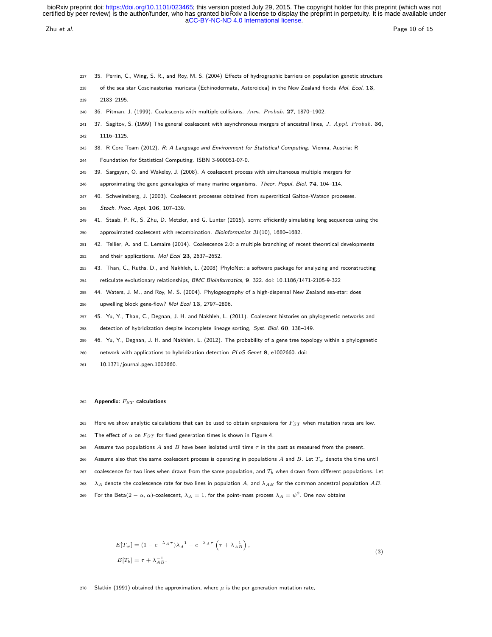zhu et al. Page 10 of 15

- 237 35. Perrin, C., Wing, S. R., and Roy, M. S. (2004) Effects of hydrographic barriers on population genetic structure
- 238 of the sea star Coscinasterias muricata (Echinodermata, Asteroidea) in the New Zealand fiords Mol. Ecol. 13,
- 239 2183–2195.
- 240 36. Pitman, J. (1999). Coalescents with multiple collisions. Ann. Probab. 27, 1870–1902.
- 241 37. Sagitov, S. (1999) The general coalescent with asynchronous mergers of ancestral lines, J. Appl. Probab. 36,
- 242 1116–1125.
- 243 38. R Core Team (2012). R: A Language and Environment for Statistical Computing. Vienna, Austria: R
- 244 Foundation for Statistical Computing. ISBN 3-900051-07-0.
- 245 39. Sargsyan, O. and Wakeley, J. (2008). A coalescent process with simultaneous multiple mergers for
- 246 approximating the gene genealogies of many marine organisms. Theor. Popul. Biol. 74, 104-114.
- 247 40. Schweinsberg, J. (2003). Coalescent processes obtained from supercritical Galton-Watson processes.
- 248 Stoch. Proc. Appl. 106, 107–139.
- 249 41. Staab, P. R., S. Zhu, D. Metzler, and G. Lunter (2015). scrm: efficiently simulating long sequences using the
- 250 approximated coalescent with recombination. Bioinformatics 31(10), 1680–1682.
- 251 42. Tellier, A. and C. Lemaire (2014). Coalescence 2.0: a multiple branching of recent theoretical developments
- 252 and their applications. Mol Ecol 23, 2637–2652.
- 253 43. Than, C., Ruths, D., and Nakhleh, L. (2008) PhyloNet: a software package for analyzing and reconstructing
- 254 reticulate evolutionary relationships, BMC Bioinformatics, 9, 322. doi: 10.1186/1471-2105-9-322
- 255 44. Waters, J. M., and Roy, M. S. (2004). Phylogeography of a high-dispersal New Zealand sea-star: does
- 256 upwelling block gene-flow? Mol Ecol 13, 2797–2806.
- 257 45. Yu, Y., Than, C., Degnan, J. H. and Nakhleh, L. (2011). Coalescent histories on phylogenetic networks and
- 258 detection of hybridization despite incomplete lineage sorting, Syst. Biol. 60, 138–149.
- 259 46. Yu, Y., Degnan, J. H. and Nakhleh, L. (2012). The probability of a gene tree topology within a phylogenetic
- 260 network with applications to hybridization detection PLoS Genet 8, e1002660. doi:
- 261 10.1371/journal.pgen.1002660.

## 262 Appendix:  $F_{ST}$  calculations

- 263 Here we show analytic calculations that can be used to obtain expressions for  $F_{ST}$  when mutation rates are low.
- 264 The effect of  $\alpha$  on  $F_{ST}$  for fixed generation times is shown in Figure 4.
- 265 Assume two populations A and B have been isolated until time  $\tau$  in the past as measured from the present.
- 266 Assume also that the same coalescent process is operating in populations A and B. Let  $T_w$  denote the time until
- $267$  coalescence for two lines when drawn from the same population, and  $T_b$  when drawn from different populations. Let
- 268  $\lambda_A$  denote the coalescence rate for two lines in population A, and  $\lambda_{AB}$  for the common ancestral population AB.
- 269 For the Beta $(2-\alpha, \alpha)$ -coalescent,  $\lambda_A=1$ , for the point-mass process  $\lambda_A=\psi^2.$  One now obtains

$$
E[T_w] = (1 - e^{-\lambda_A \tau})\lambda_A^{-1} + e^{-\lambda_A \tau} \left(\tau + \lambda_{AB}^{-1}\right),
$$
  
\n
$$
E[T_b] = \tau + \lambda_{AB}^{-1}.
$$
\n(3)

270 Slatkin (1991) obtained the approximation, where  $\mu$  is the per generation mutation rate,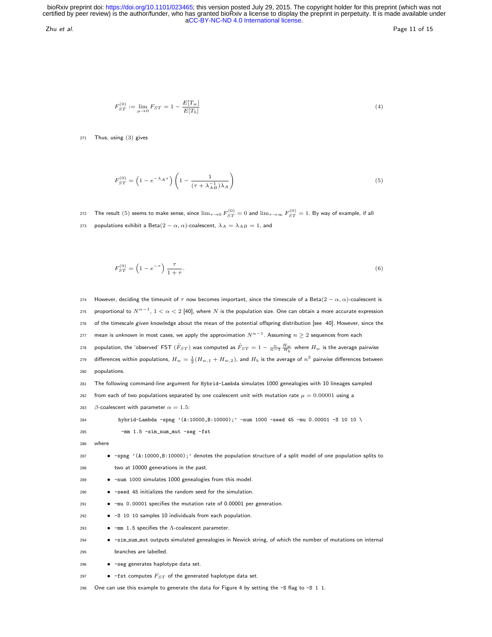zhu et al. Page 11 of 15

$$
F_{ST}^{(0)} := \lim_{\mu \to 0} F_{ST} = 1 - \frac{E[T_w]}{E[T_b]}
$$
\n(4)

271 Thus, using (3) gives

$$
F_{ST}^{(0)} = \left(1 - e^{-\lambda_A \tau}\right) \left(1 - \frac{1}{(\tau + \lambda_{AB}^{-1})\lambda_A}\right) \tag{5}
$$

 $_{272}$   $\,$  The result  $(5)$  seems to make sense, since  $\lim_{\tau\to 0} F^{(0)}_{ST}=0$  and  $\lim_{\tau\to \infty} F^{(0)}_{ST}=1.$  By way of example, if all 273 populations exhibit a Beta $(2 - \alpha, \alpha)$ -coalescent,  $\lambda_A = \lambda_{AB} = 1$ , and

$$
F_{ST}^{(0)} = \left(1 - e^{-\tau}\right) \frac{\tau}{1 + \tau}.\tag{6}
$$

274 However, deciding the timeunit of  $\tau$  now becomes important, since the timescale of a Beta(2 –  $\alpha$ ,  $\alpha$ )-coalescent is  $_{275}$  proportional to  $N^{\alpha-1}$ ,  $1<\alpha< 2$  [40], where  $N$  is the population size. One can obtain a more accurate expression 276 of the timescale given knowledge about the mean of the potential offspring distribution [see 40]. However, since the  $_{277}$  mean is unknown in most cases, we apply the approximation  $N^{\alpha-1}.$  Assuming  $n\geq 2$  sequences from each  $_2$ 78 population, the 'observed' FST  $(\hat{F}_{ST})$  was computed as  $\hat{F}_{ST}=1-\frac{n}{n-1}\frac{H_w}{H_b}$  where  $H_w$  is the average pairwise  $_2$ 79 differences within populations,  $H_w=\frac{1}{2}(H_{w,1}+H_{w,2})$ , and  $H_b$  is the average of  $n^2$  pairwise differences between populations. The following command-line argument for Hybrid-Lambda simulates 1000 genealogies with 10 lineages sampled 282 from each of two populations separated by one coalescent unit with mutation rate  $\mu = 0.00001$  using a  $\beta$ -coalescent with parameter  $\alpha = 1.5$ : hybrid-Lambda -spng '(A:10000,B:10000);' -num 1000 -seed 45 -mu 0.00001 -S 10 10 \ -mm  $1.5$  -sim num mut -seg -fst 286 where • -spng '(A:10000,B:10000);' denotes the population structure of a split model of one population splits to two at 10000 generations in the past. • -num 1000 simulates 1000 genealogies from this model. • -seed 45 initializes the random seed for the simulation. • -mu 0.00001 specifies the mutation rate of 0.00001 per generation. • -S 10 10 samples 10 individuals from each population. • -mm 1.5 specifies the Λ-coalescent parameter. • -sim num mut outputs simulated genealogies in Newick string, of which the number of mutations on internal branches are labelled. • -seg generates haplotype data set. 297 • -fst computes  $F_{ST}$  of the generated haplotype data set. One can use this example to generate the data for Figure 4 by setting the -S flag to -S 1 1.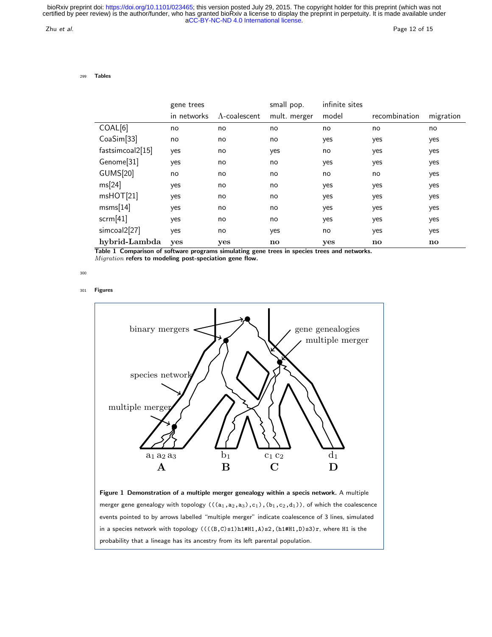Zhu et al. Page 12 of 15

299 Tables

|                  | gene trees  |                       | small pop.   | infinite sites |                        |           |
|------------------|-------------|-----------------------|--------------|----------------|------------------------|-----------|
|                  | in networks | $\Lambda$ -coalescent | mult. merger | model          | recombination          | migration |
| COAL[6]          | no          | no                    | no           | no             | no                     | no        |
| CoaSim[33]       | no          | no                    | no           | yes            | yes                    | yes       |
| fastsimcoal2[15] | yes         | no                    | yes          | no             | yes                    | yes       |
| Genome[31]       | yes         | no                    | no           | yes            | yes                    | yes       |
| <b>GUMS[20]</b>  | no          | no                    | no           | no             | no                     | yes       |
| ms[24]           | yes         | no                    | no           | yes            | yes                    | yes       |
| mshOT[21]        | yes         | no                    | no           | yes            | yes                    | yes       |
| msms[14]         | yes         | no                    | no           | yes            | yes                    | yes       |
| scrm[41]         | yes         | no                    | no           | yes            | yes                    | yes       |
| simcoal2[27]     | yes         | no                    | yes          | no             | yes                    | yes       |
| hybrid-Lambda    | yes         | yes                   | no           | yes            | $\mathbf{n}\mathbf{o}$ | no        |

Table 1 Comparison of software programs simulating gene trees in species trees and networks. Migration refers to modeling post-speciation gene flow.

300

301 Figures



merger gene genealogy with topology  $(((a_1,a_2,a_3),c_1),(b_1,c_2,d_1))$ , of which the coalescence events pointed to by arrows labelled "multiple merger" indicate coalescence of 3 lines, simulated in a species network with topology  $(((B,C)s1)h1#H1,A)s2,(h1#H1,D)s3)r$ , where H1 is the probability that a lineage has its ancestry from its left parental population.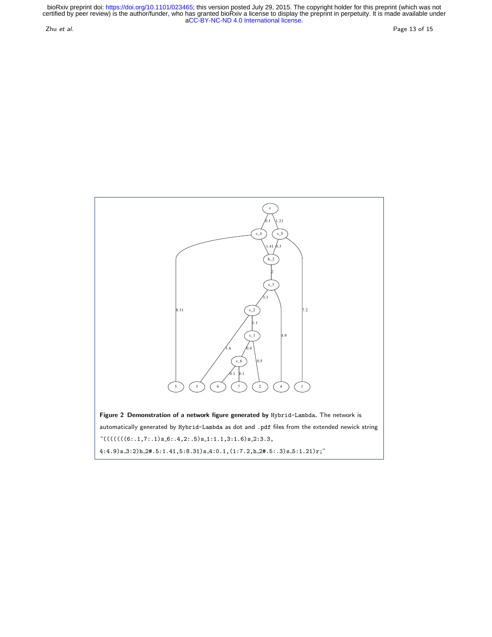Zhu et al. Page 13 of 15

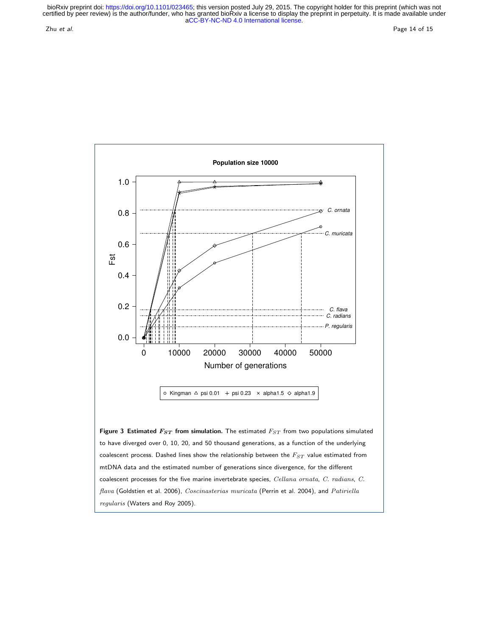